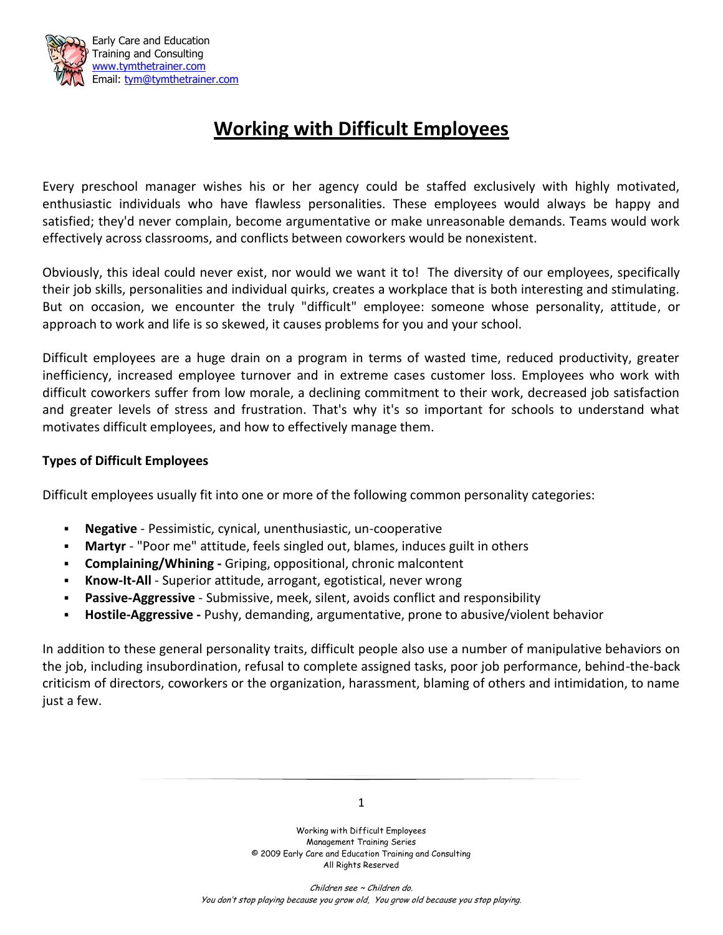

# **Working with Difficult Employees**

Every preschool manager wishes his or her agency could be staffed exclusively with highly motivated, enthusiastic individuals who have flawless personalities. These employees would always be happy and satisfied; they'd never complain, become argumentative or make unreasonable demands. Teams would work effectively across classrooms, and conflicts between coworkers would be nonexistent.

Obviously, this ideal could never exist, nor would we want it to! The diversity of our employees, specifically their job skills, personalities and individual quirks, creates a workplace that is both interesting and stimulating. But on occasion, we encounter the truly "difficult" employee: someone whose personality, attitude, or approach to work and life is so skewed, it causes problems for you and your school.

Difficult employees are a huge drain on a program in terms of wasted time, reduced productivity, greater inefficiency, increased employee turnover and in extreme cases customer loss. Employees who work with difficult coworkers suffer from low morale, a declining commitment to their work, decreased job satisfaction and greater levels of stress and frustration. That's why it's so important for schools to understand what motivates difficult employees, and how to effectively manage them.

### **Types of Difficult Employees**

Difficult employees usually fit into one or more of the following common personality categories:

- **Negative** Pessimistic, cynical, unenthusiastic, un-cooperative
- **Martyr** "Poor me" attitude, feels singled out, blames, induces guilt in others
- **Complaining/Whining -** Griping, oppositional, chronic malcontent
- **Know-It-All** Superior attitude, arrogant, egotistical, never wrong
- **Passive-Aggressive** Submissive, meek, silent, avoids conflict and responsibility
- **Hostile-Aggressive -** Pushy, demanding, argumentative, prone to abusive/violent behavior

In addition to these general personality traits, difficult people also use a number of manipulative behaviors on the job, including insubordination, refusal to complete assigned tasks, poor job performance, behind-the-back criticism of directors, coworkers or the organization, harassment, blaming of others and intimidation, to name just a few.

1

Working with Difficult Employees Management Training Series © 2009 Early Care and Education Training and Consulting All Rights Reserved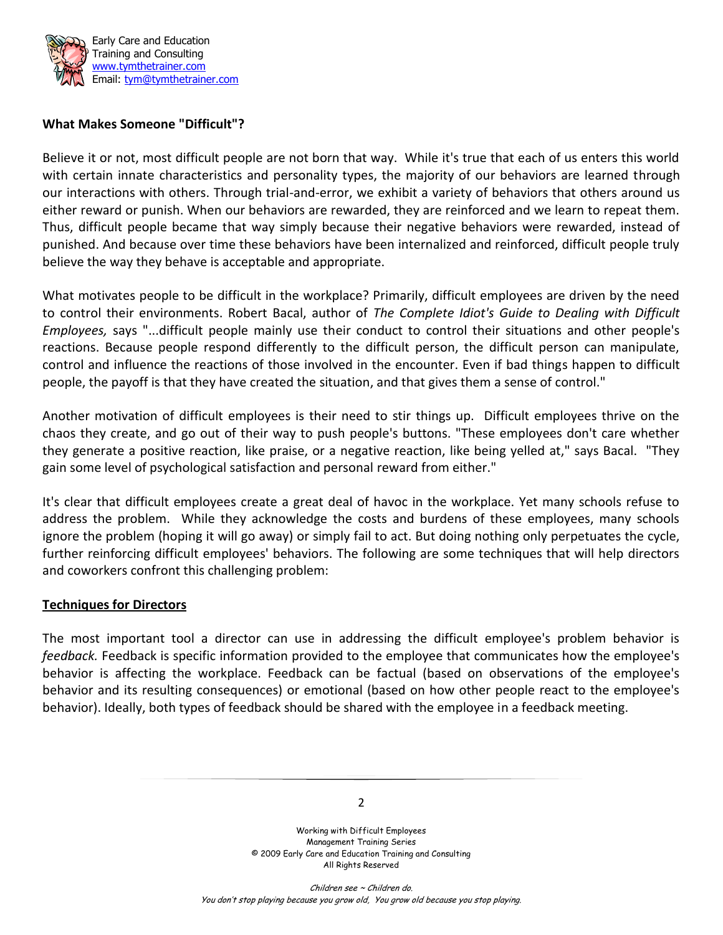

#### **What Makes Someone "Difficult"?**

Believe it or not, most difficult people are not born that way. While it's true that each of us enters this world with certain innate characteristics and personality types, the majority of our behaviors are learned through our interactions with others. Through trial-and-error, we exhibit a variety of behaviors that others around us either reward or punish. When our behaviors are rewarded, they are reinforced and we learn to repeat them. Thus, difficult people became that way simply because their negative behaviors were rewarded, instead of punished. And because over time these behaviors have been internalized and reinforced, difficult people truly believe the way they behave is acceptable and appropriate.

What motivates people to be difficult in the workplace? Primarily, difficult employees are driven by the need to control their environments. Robert Bacal, author of *The Complete Idiot's Guide to Dealing with Difficult Employees,* says "...difficult people mainly use their conduct to control their situations and other people's reactions. Because people respond differently to the difficult person, the difficult person can manipulate, control and influence the reactions of those involved in the encounter. Even if bad things happen to difficult people, the payoff is that they have created the situation, and that gives them a sense of control."

Another motivation of difficult employees is their need to stir things up. Difficult employees thrive on the chaos they create, and go out of their way to push people's buttons. "These employees don't care whether they generate a positive reaction, like praise, or a negative reaction, like being yelled at," says Bacal. "They gain some level of psychological satisfaction and personal reward from either."

It's clear that difficult employees create a great deal of havoc in the workplace. Yet many schools refuse to address the problem. While they acknowledge the costs and burdens of these employees, many schools ignore the problem (hoping it will go away) or simply fail to act. But doing nothing only perpetuates the cycle, further reinforcing difficult employees' behaviors. The following are some techniques that will help directors and coworkers confront this challenging problem:

#### **Techniques for Directors**

The most important tool a director can use in addressing the difficult employee's problem behavior is *feedback.* Feedback is specific information provided to the employee that communicates how the employee's behavior is affecting the workplace. Feedback can be factual (based on observations of the employee's behavior and its resulting consequences) or emotional (based on how other people react to the employee's behavior). Ideally, both types of feedback should be shared with the employee in a feedback meeting.



Working with Difficult Employees Management Training Series © 2009 Early Care and Education Training and Consulting All Rights Reserved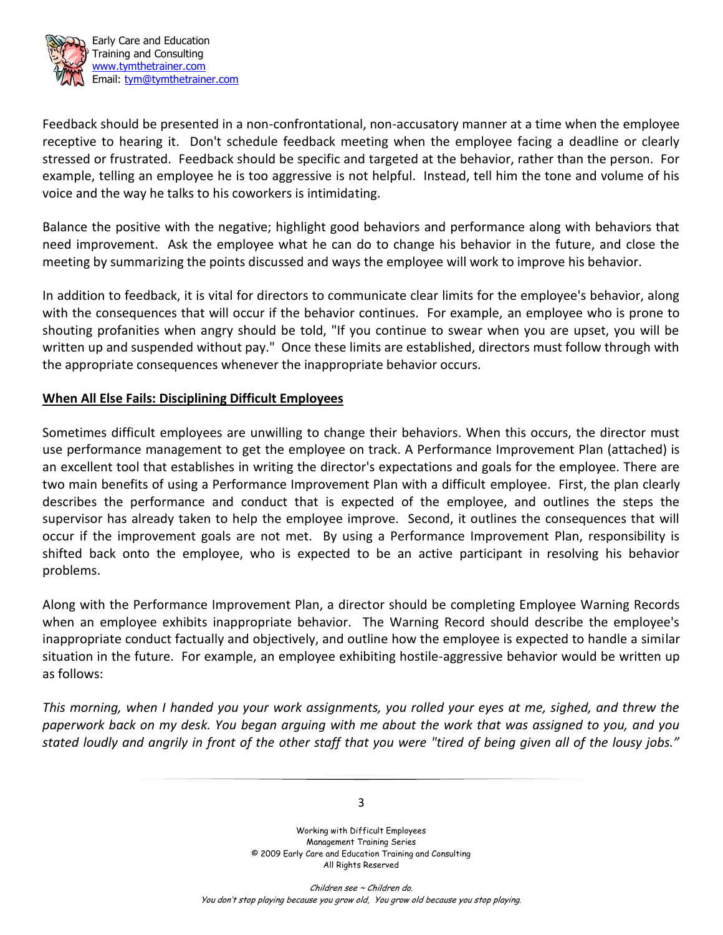

 Early Care and Education Training and Consulting www.tymthetrainer.com Email: tym@tymthetrainer.com

Feedback should be presented in a non-confrontational, non-accusatory manner at a time when the employee receptive to hearing it. Don't schedule feedback meeting when the employee facing a deadline or clearly stressed or frustrated. Feedback should be specific and targeted at the behavior, rather than the person. For example, telling an employee he is too aggressive is not helpful. Instead, tell him the tone and volume of his voice and the way he talks to his coworkers is intimidating.

Balance the positive with the negative; highlight good behaviors and performance along with behaviors that need improvement. Ask the employee what he can do to change his behavior in the future, and close the meeting by summarizing the points discussed and ways the employee will work to improve his behavior.

In addition to feedback, it is vital for directors to communicate clear limits for the employee's behavior, along with the consequences that will occur if the behavior continues. For example, an employee who is prone to shouting profanities when angry should be told, "If you continue to swear when you are upset, you will be written up and suspended without pay." Once these limits are established, directors must follow through with the appropriate consequences whenever the inappropriate behavior occurs.

### **When All Else Fails: Disciplining Difficult Employees**

Sometimes difficult employees are unwilling to change their behaviors. When this occurs, the director must use performance management to get the employee on track. A Performance Improvement Plan (attached) is an excellent tool that establishes in writing the director's expectations and goals for the employee. There are two main benefits of using a Performance Improvement Plan with a difficult employee. First, the plan clearly describes the performance and conduct that is expected of the employee, and outlines the steps the supervisor has already taken to help the employee improve. Second, it outlines the consequences that will occur if the improvement goals are not met. By using a Performance Improvement Plan, responsibility is shifted back onto the employee, who is expected to be an active participant in resolving his behavior problems.

Along with the Performance Improvement Plan, a director should be completing Employee Warning Records when an employee exhibits inappropriate behavior. The Warning Record should describe the employee's inappropriate conduct factually and objectively, and outline how the employee is expected to handle a similar situation in the future. For example, an employee exhibiting hostile-aggressive behavior would be written up as follows:

*This morning, when I handed you your work assignments, you rolled your eyes at me, sighed, and threw the paperwork back on my desk. You began arguing with me about the work that was assigned to you, and you stated loudly and angrily in front of the other staff that you were "tired of being given all of the lousy jobs."* 

3

Working with Difficult Employees Management Training Series © 2009 Early Care and Education Training and Consulting All Rights Reserved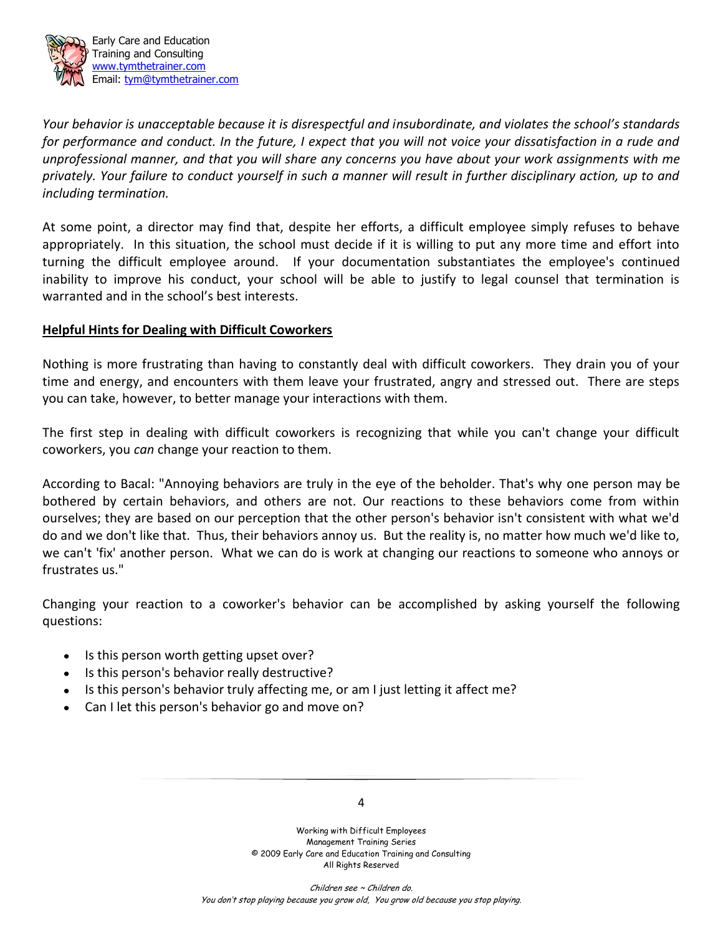

 Early Care and Education Training and Consulting www.tymthetrainer.com Email: tym@tymthetrainer.com

*Your behavior is unacceptable because it is disrespectful and insubordinate, and violates the school's standards for performance and conduct. In the future, I expect that you will not voice your dissatisfaction in a rude and unprofessional manner, and that you will share any concerns you have about your work assignments with me privately. Your failure to conduct yourself in such a manner will result in further disciplinary action, up to and including termination.*

At some point, a director may find that, despite her efforts, a difficult employee simply refuses to behave appropriately. In this situation, the school must decide if it is willing to put any more time and effort into turning the difficult employee around. If your documentation substantiates the employee's continued inability to improve his conduct, your school will be able to justify to legal counsel that termination is warranted and in the school's best interests.

### **Helpful Hints for Dealing with Difficult Coworkers**

Nothing is more frustrating than having to constantly deal with difficult coworkers. They drain you of your time and energy, and encounters with them leave your frustrated, angry and stressed out. There are steps you can take, however, to better manage your interactions with them.

The first step in dealing with difficult coworkers is recognizing that while you can't change your difficult coworkers, you *can* change your reaction to them.

According to Bacal: "Annoying behaviors are truly in the eye of the beholder. That's why one person may be bothered by certain behaviors, and others are not. Our reactions to these behaviors come from within ourselves; they are based on our perception that the other person's behavior isn't consistent with what we'd do and we don't like that. Thus, their behaviors annoy us. But the reality is, no matter how much we'd like to, we can't 'fix' another person. What we can do is work at changing our reactions to someone who annoys or frustrates us."

Changing your reaction to a coworker's behavior can be accomplished by asking yourself the following questions:

- Is this person worth getting upset over?  $\bullet$
- Is this person's behavior really destructive?
- Is this person's behavior truly affecting me, or am I just letting it affect me?
- Can I let this person's behavior go and move on?

4

Working with Difficult Employees Management Training Series © 2009 Early Care and Education Training and Consulting All Rights Reserved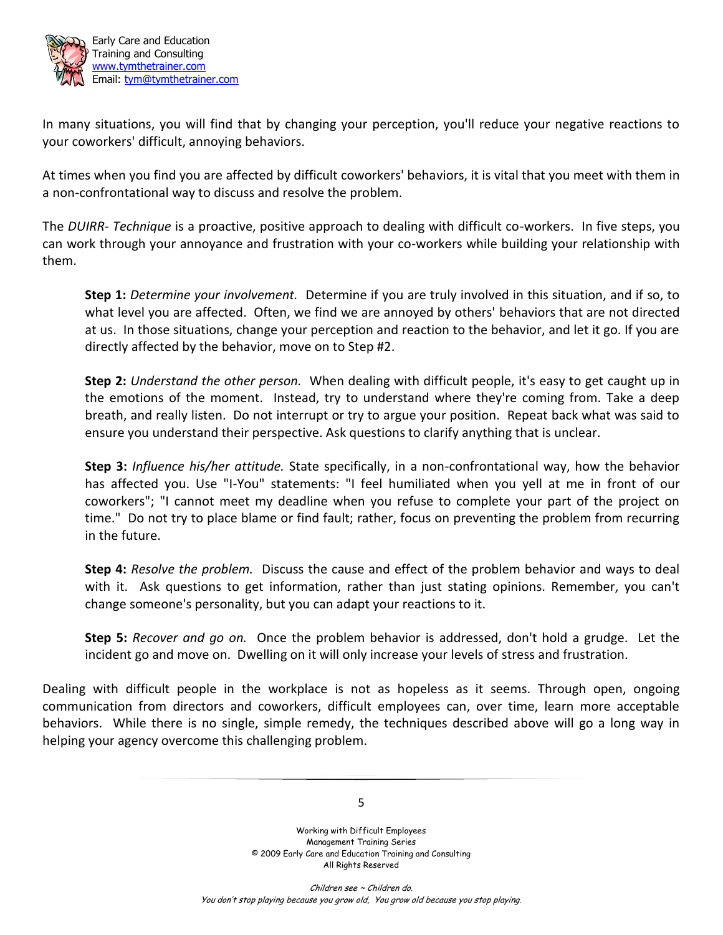

 Early Care and Education Training and Consulting www.tymthetrainer.com Email: tym@tymthetrainer.com

In many situations, you will find that by changing your perception, you'll reduce your negative reactions to your coworkers' difficult, annoying behaviors.

At times when you find you are affected by difficult coworkers' behaviors, it is vital that you meet with them in a non-confrontational way to discuss and resolve the problem.

The *DUIRR- Technique* is a proactive, positive approach to dealing with difficult co-workers. In five steps, you can work through your annoyance and frustration with your co-workers while building your relationship with them.

**Step 1:** *Determine your involvement.* Determine if you are truly involved in this situation, and if so, to what level you are affected. Often, we find we are annoyed by others' behaviors that are not directed at us. In those situations, change your perception and reaction to the behavior, and let it go. If you are directly affected by the behavior, move on to Step #2.

**Step 2:** *Understand the other person.* When dealing with difficult people, it's easy to get caught up in the emotions of the moment. Instead, try to understand where they're coming from. Take a deep breath, and really listen. Do not interrupt or try to argue your position. Repeat back what was said to ensure you understand their perspective. Ask questions to clarify anything that is unclear.

**Step 3:** *Influence his/her attitude.* State specifically, in a non-confrontational way, how the behavior has affected you. Use "I-You" statements: "I feel humiliated when you yell at me in front of our coworkers"; "I cannot meet my deadline when you refuse to complete your part of the project on time." Do not try to place blame or find fault; rather, focus on preventing the problem from recurring in the future.

**Step 4:** *Resolve the problem.* Discuss the cause and effect of the problem behavior and ways to deal with it. Ask questions to get information, rather than just stating opinions. Remember, you can't change someone's personality, but you can adapt your reactions to it.

**Step 5:** *Recover and go on.* Once the problem behavior is addressed, don't hold a grudge. Let the incident go and move on. Dwelling on it will only increase your levels of stress and frustration.

Dealing with difficult people in the workplace is not as hopeless as it seems. Through open, ongoing communication from directors and coworkers, difficult employees can, over time, learn more acceptable behaviors. While there is no single, simple remedy, the techniques described above will go a long way in helping your agency overcome this challenging problem.

5

Working with Difficult Employees Management Training Series © 2009 Early Care and Education Training and Consulting All Rights Reserved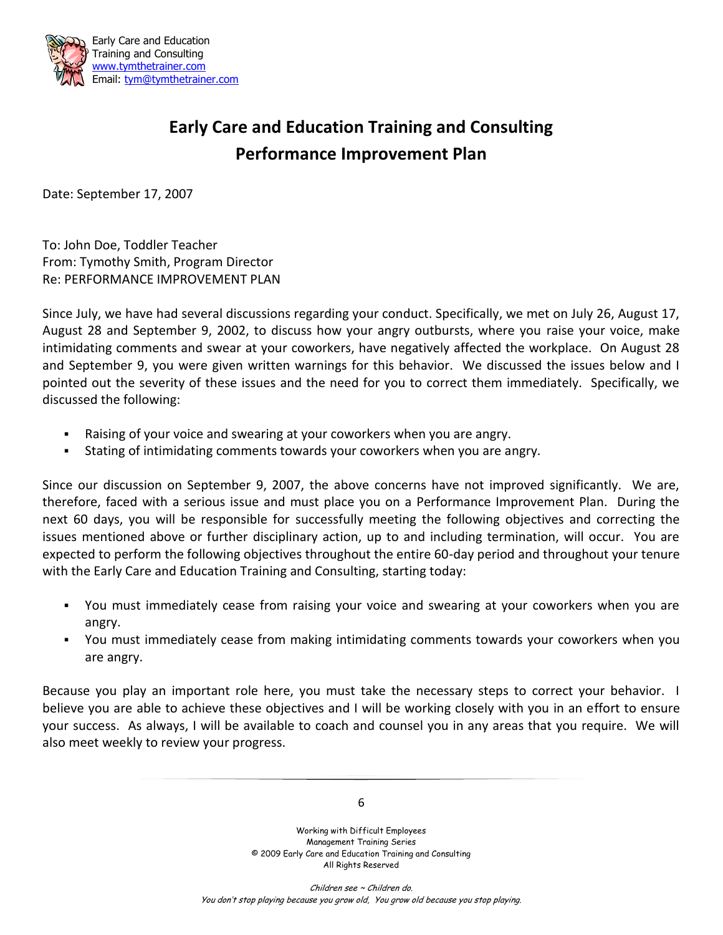

# **Early Care and Education Training and Consulting Performance Improvement Plan**

Date: September 17, 2007

To: John Doe, Toddler Teacher From: Tymothy Smith, Program Director Re: PERFORMANCE IMPROVEMENT PLAN

Since July, we have had several discussions regarding your conduct. Specifically, we met on July 26, August 17, August 28 and September 9, 2002, to discuss how your angry outbursts, where you raise your voice, make intimidating comments and swear at your coworkers, have negatively affected the workplace. On August 28 and September 9, you were given written warnings for this behavior. We discussed the issues below and I pointed out the severity of these issues and the need for you to correct them immediately. Specifically, we discussed the following:

- Raising of your voice and swearing at your coworkers when you are angry.
- Stating of intimidating comments towards your coworkers when you are angry.

Since our discussion on September 9, 2007, the above concerns have not improved significantly. We are, therefore, faced with a serious issue and must place you on a Performance Improvement Plan. During the next 60 days, you will be responsible for successfully meeting the following objectives and correcting the issues mentioned above or further disciplinary action, up to and including termination, will occur. You are expected to perform the following objectives throughout the entire 60-day period and throughout your tenure with the Early Care and Education Training and Consulting, starting today:

- You must immediately cease from raising your voice and swearing at your coworkers when you are angry.
- You must immediately cease from making intimidating comments towards your coworkers when you are angry.

Because you play an important role here, you must take the necessary steps to correct your behavior. I believe you are able to achieve these objectives and I will be working closely with you in an effort to ensure your success. As always, I will be available to coach and counsel you in any areas that you require. We will also meet weekly to review your progress.

6

Working with Difficult Employees Management Training Series © 2009 Early Care and Education Training and Consulting All Rights Reserved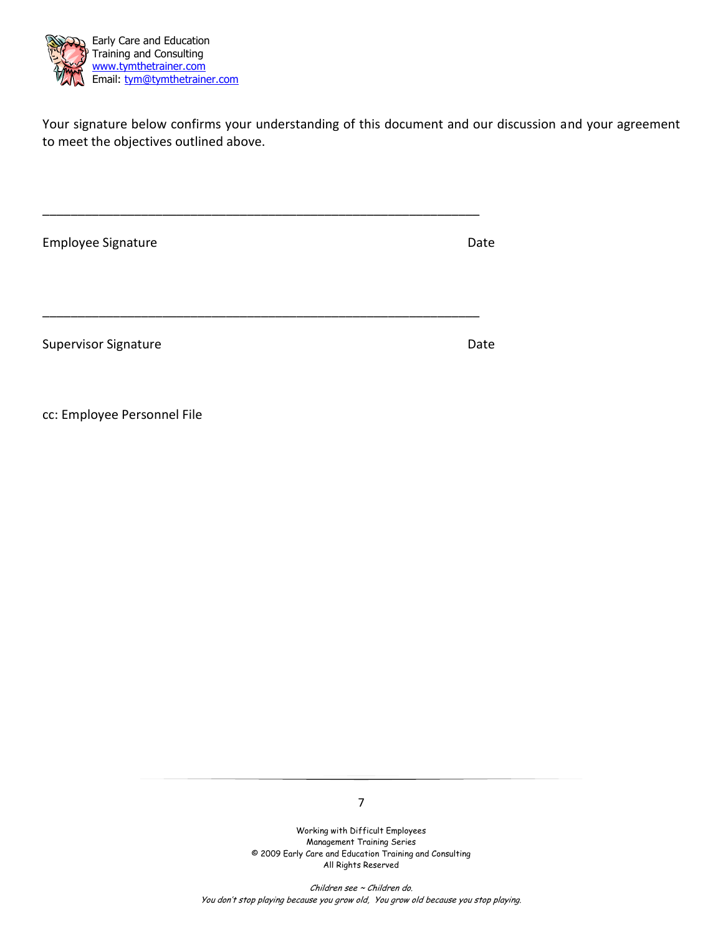

Your signature below confirms your understanding of this document and our discussion and your agreement to meet the objectives outlined above.

| Employee Signature          | Date |
|-----------------------------|------|
|                             |      |
| <b>Supervisor Signature</b> | Date |
|                             |      |

cc: Employee Personnel File

7

Working with Difficult Employees Management Training Series © 2009 Early Care and Education Training and Consulting All Rights Reserved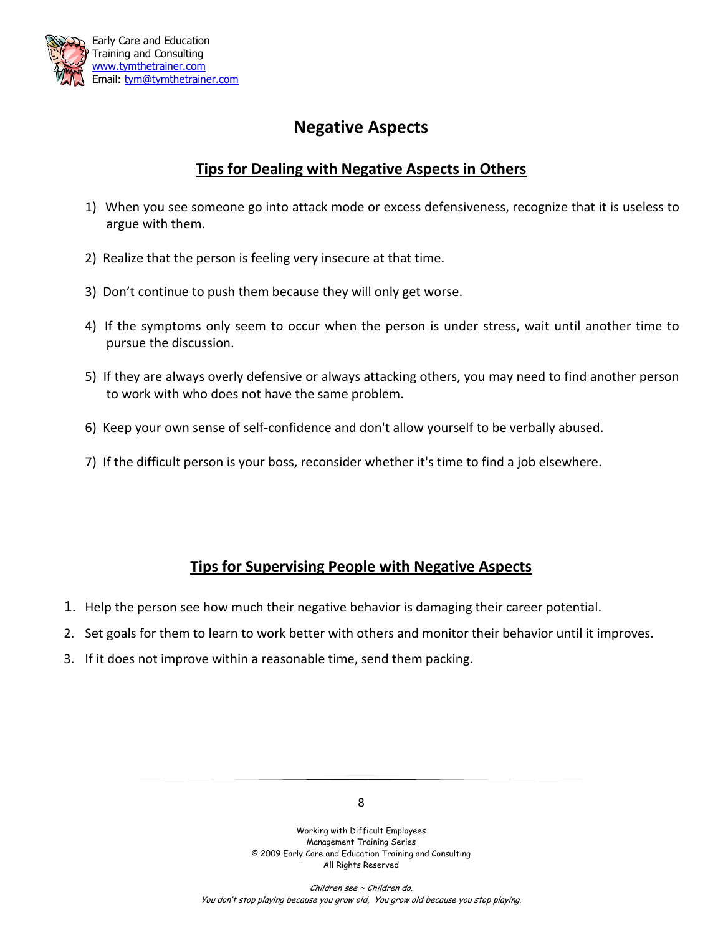

## **Negative Aspects**

### **Tips for Dealing with Negative Aspects in Others**

- 1) When you see someone go into attack mode or excess defensiveness, recognize that it is useless to argue with them.
- 2) Realize that the person is feeling very insecure at that time.
- 3) Don't continue to push them because they will only get worse.
- 4) If the symptoms only seem to occur when the person is under stress, wait until another time to pursue the discussion.
- 5) If they are always overly defensive or always attacking others, you may need to find another person to work with who does not have the same problem.
- 6) Keep your own sense of self-confidence and don't allow yourself to be verbally abused.
- 7) If the difficult person is your boss, reconsider whether it's time to find a job elsewhere.

### **Tips for Supervising People with Negative Aspects**

- 1. Help the person see how much their negative behavior is damaging their career potential.
- 2. Set goals for them to learn to work better with others and monitor their behavior until it improves.
- 3. If it does not improve within a reasonable time, send them packing.

Working with Difficult Employees Management Training Series © 2009 Early Care and Education Training and Consulting All Rights Reserved